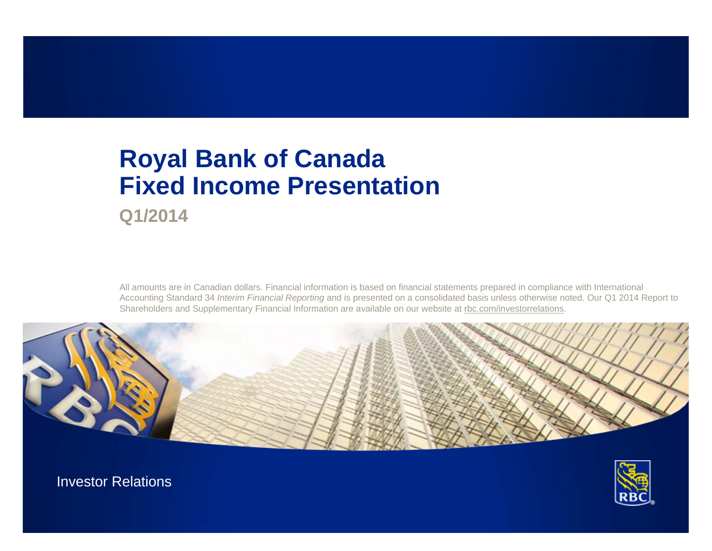# **Royal Bank of Canada Fixed Income Presentation**

**Q1/2014**

All amounts are in Canadian dollars. Financial information is based on financial statements prepared in compliance with International Accounting Standard 34 *Interim Financial Reporting* and is presented on a consolidated basis unless otherwise noted. Our Q1 2014 Report to Shareholders and Supplementary Financial Information are available on our website at [rbc.com/investorrelations](http://www.rbc.com/investorrelations).





Investor Relations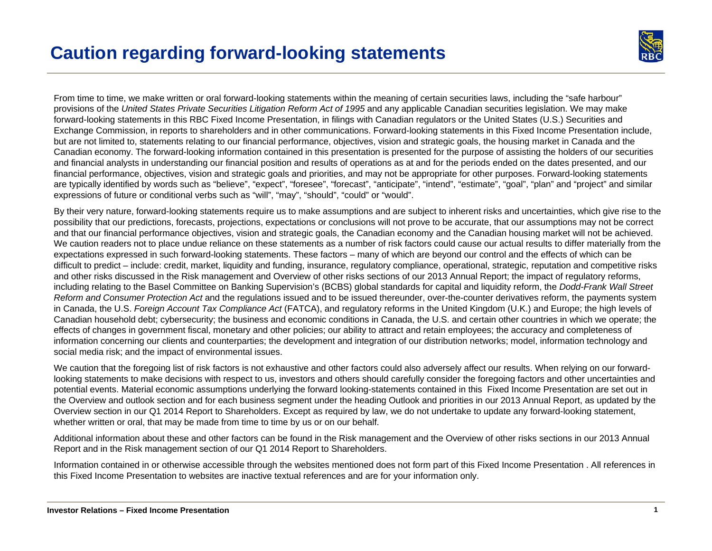

From time to time, we make written or oral forward-looking statements within the meaning of certain securities laws, including the "safe harbour" provisions of the *United States Private Securities Litigation Reform Act of 1995* and any applicable Canadian securities legislation. We may make forward-looking statements in this RBC Fixed Income Presentation, in filings with Canadian regulators or the United States (U.S.) Securities and Exchange Commission, in reports to shareholders and in other communications. Forward-looking statements in this Fixed Income Presentation include, but are not limited to, statements relating to our financial performance, objectives, vision and strategic goals, the housing market in Canada and the Canadian economy. The forward-looking information contained in this presentation is presented for the purpose of assisting the holders of our securities and financial analysts in understanding our financial position and results of operations as at and for the periods ended on the dates presented, and our financial performance, objectives, vision and strategic goals and priorities, and may not be appropriate for other purposes. Forward-looking statements are typically identified by words such as "believe", "expect", "foresee", "forecast", "anticipate", "intend", "estimate", "goal", "plan" and "project" and similar expressions of future or conditional verbs such as "will", "may", "should", "could" or "would".

By their very nature, forward-looking statements require us to make assumptions and are subject to inherent risks and uncertainties, which give rise to the possibility that our predictions, forecasts, projections, expectations or conclusions will not prove to be accurate, that our assumptions may not be correct and that our financial performance objectives, vision and strategic goals, the Canadian economy and the Canadian housing market will not be achieved. We caution readers not to place undue reliance on these statements as a number of risk factors could cause our actual results to differ materially from the expectations expressed in such forward-looking statements. These factors – many of which are beyond our control and the effects of which can be difficult to predict – include: credit, market, liquidity and funding, insurance, regulatory compliance, operational, strategic, reputation and competitive risks and other risks discussed in the Risk management and Overview of other risks sections of our 2013 Annual Report; the impact of regulatory reforms, including relating to the Basel Committee on Banking Supervision's (BCBS) global standards for capital and liquidity reform, the *Dodd-Frank Wall Street Reform and Consumer Protection Act* and the regulations issued and to be issued thereunder, over-the-counter derivatives reform, the payments system in Canada, the U.S. *Foreign Account Tax Compliance Act* (FATCA), and regulatory reforms in the United Kingdom (U.K.) and Europe; the high levels of Canadian household debt; cybersecurity; the business and economic conditions in Canada, the U.S. and certain other countries in which we operate; the effects of changes in government fiscal, monetary and other policies; our ability to attract and retain employees; the accuracy and completeness of information concerning our clients and counterparties; the development and integration of our distribution networks; model, information technology and social media risk; and the impact of environmental issues.

We caution that the foregoing list of risk factors is not exhaustive and other factors could also adversely affect our results. When relying on our forwardlooking statements to make decisions with respect to us, investors and others should carefully consider the foregoing factors and other uncertainties and potential events. Material economic assumptions underlying the forward looking-statements contained in this Fixed Income Presentation are set out in the Overview and outlook section and for each business segment under the heading Outlook and priorities in our 2013 Annual Report, as updated by the Overview section in our Q1 2014 Report to Shareholders. Except as required by law, we do not undertake to update any forward-looking statement, whether written or oral, that may be made from time to time by us or on our behalf.

Additional information about these and other factors can be found in the Risk management and the Overview of other risks sections in our 2013 Annual Report and in the Risk management section of our Q1 2014 Report to Shareholders.

Information contained in or otherwise accessible through the websites mentioned does not form part of this Fixed Income Presentation . All references in this Fixed Income Presentation to websites are inactive textual references and are for your information only.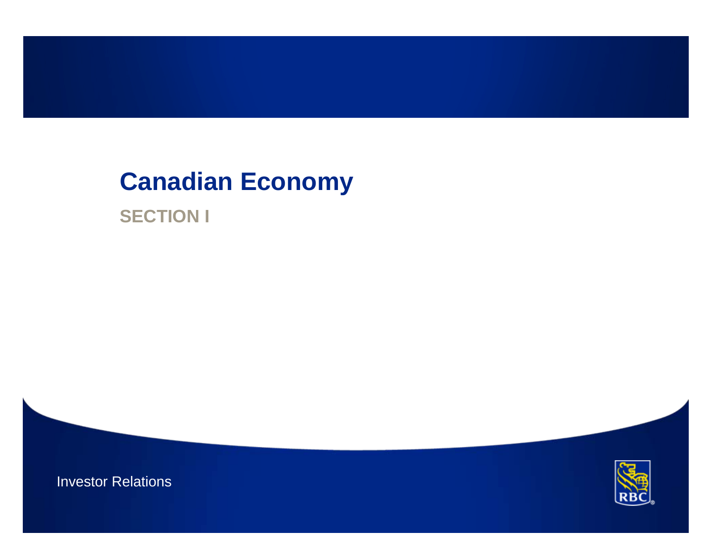# **Canadian Economy**

**SECTION I**



Investor Relations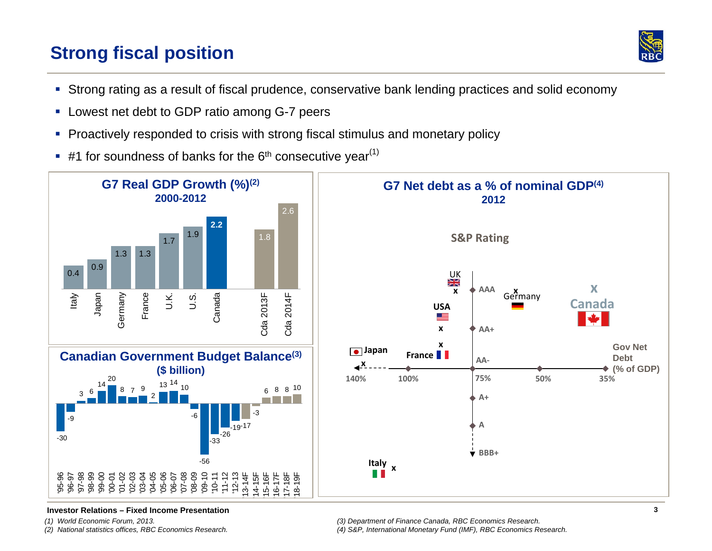## **Strong fiscal position**



- Strong rating as a result of fiscal prudence, conservative bank lending practices and solid economy
- **Lowest net debt to GDP ratio among G-7 peers**
- $\blacksquare$ Proactively responded to crisis with strong fiscal stimulus and monetary policy
- $\bullet$  #1 for soundness of banks for the 6<sup>th</sup> consecutive year<sup>(1)</sup>





#### **Investor Relations – Fixed Income Presentation**

*(1) World Economic Forum, 2013.* 

*(2) National statistics offices, RBC Economics Research.*

*(4) S&P, International Monetary Fund (IMF), RBC Economics Research.*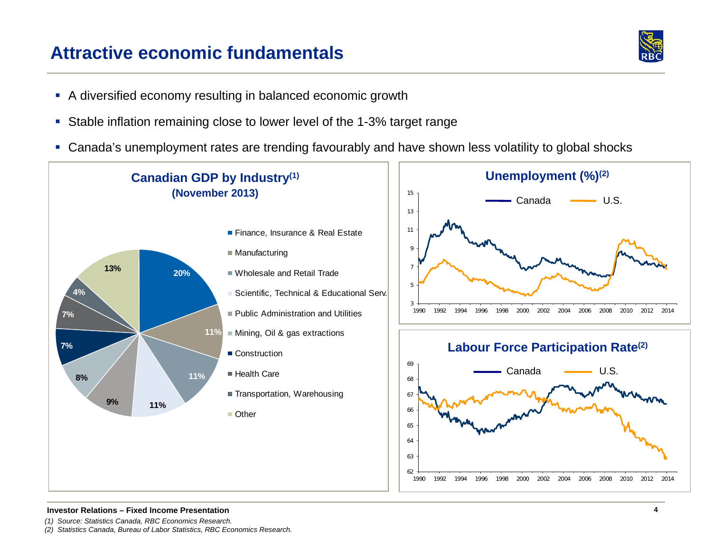## **Attractive economic fundamentals**



- A diversified economy resulting in balanced economic growth
- Stable inflation remaining close to lower level of the 1-3% target range
- Canada's unemployment rates are trending favourably and have shown less volatility to global shocks



#### **Investor Relations – Fixed Income Presentation**

- *(1) Source: Statistics Canada, RBC Economics Research.*
- *(2) Statistics Canada, Bureau of Labor Statistics, RBC Economics Research.*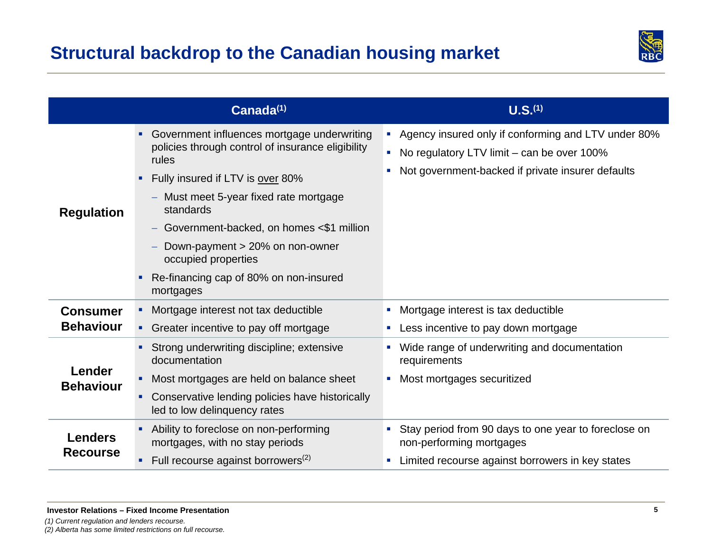

|                                     | Canada(1)                                                                                                                                                                                                                                                                                                                                                                           | U.S. <sup>(1)</sup>                                                                                                                                      |
|-------------------------------------|-------------------------------------------------------------------------------------------------------------------------------------------------------------------------------------------------------------------------------------------------------------------------------------------------------------------------------------------------------------------------------------|----------------------------------------------------------------------------------------------------------------------------------------------------------|
| <b>Regulation</b>                   | Government influences mortgage underwriting<br>policies through control of insurance eligibility<br>rules<br>Fully insured if LTV is over 80%<br>$\blacksquare$<br>- Must meet 5-year fixed rate mortgage<br>standards<br>Government-backed, on homes <\$1 million<br>Down-payment > 20% on non-owner<br>occupied properties<br>Re-financing cap of 80% on non-insured<br>mortgages | Agency insured only if conforming and LTV under 80%<br>No regulatory LTV limit $-$ can be over 100%<br>Not government-backed if private insurer defaults |
| <b>Consumer</b><br><b>Behaviour</b> | Mortgage interest not tax deductible<br>• Greater incentive to pay off mortgage                                                                                                                                                                                                                                                                                                     | Mortgage interest is tax deductible<br>Less incentive to pay down mortgage                                                                               |
| Lender<br><b>Behaviour</b>          | Strong underwriting discipline; extensive<br>documentation<br>Most mortgages are held on balance sheet<br>٠<br>Conservative lending policies have historically<br>led to low delinquency rates                                                                                                                                                                                      | Wide range of underwriting and documentation<br>requirements<br>Most mortgages securitized                                                               |
| <b>Lenders</b><br><b>Recourse</b>   | Ability to foreclose on non-performing<br>mortgages, with no stay periods<br>Full recourse against borrowers <sup>(2)</sup>                                                                                                                                                                                                                                                         | • Stay period from 90 days to one year to foreclose on<br>non-performing mortgages<br>Limited recourse against borrowers in key states<br>×.             |

*(1) Current regulation and lenders recourse.*

*(2) Alberta has some limited restrictions on full recourse.*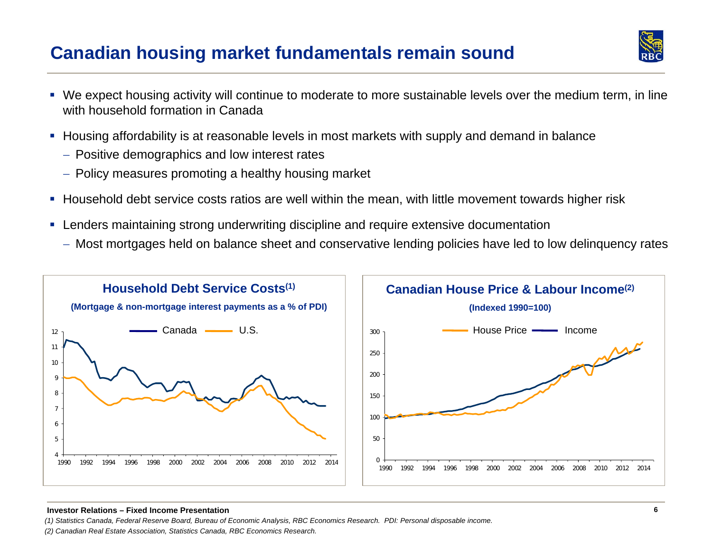## **Canadian housing market fundamentals remain sound**



- We expect housing activity will continue to moderate to more sustainable levels over the medium term, in line with household formation in Canada
- $\blacksquare$  Housing affordability is at reasonable levels in most markets with supply and demand in balance
	- $\hspace{0.1mm}-$  Positive demographics and low interest rates
	- $-$  Policy measures promoting a healthy housing market
- Household debt service costs ratios are well within the mean, with little movement towards higher risk
- Lenders maintaining strong underwriting discipline and require extensive documentation
	- Most mortgages held on balance sheet and conservative lending policies have led to low delinquency rates



#### **Investor Relations – Fixed Income Presentation**

*(1) Statistics Canada, Federal Reserve Board, Bureau of Economic Analysis, RBC Economics Research. PDI: Personal disposable income.*

*(2) Canadian Real Estate Association, Statistics Canada, RBC Economics Research.*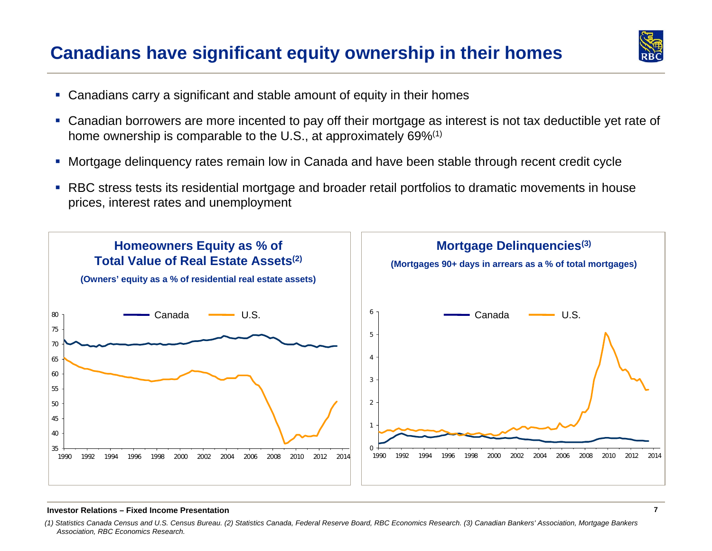## **Canadians have significant equity ownership in their homes**



- Canadians carry a significant and stable amount of equity in their homes
- Canadian borrowers are more incented to pay off their mortgage as interest is not tax deductible yet rate of home ownership is comparable to the U.S., at approximately 69%<sup>(1)</sup>
- Mortgage delinquency rates remain low in Canada and have been stable through recent credit cycle
- RBC stress tests its residential mortgage and broader retail portfolios to dramatic movements in house prices, interest rates and unemployment



#### **Investor Relations – Fixed Income Presentation**

*<sup>(1)</sup> Statistics Canada Census and U.S. Census Bureau. (2) Statistics Canada, Federal Reserve Board, RBC Economics Research. (3) Canadian Bankers' Association, Mortgage Bankers Association, RBC Economics Research.*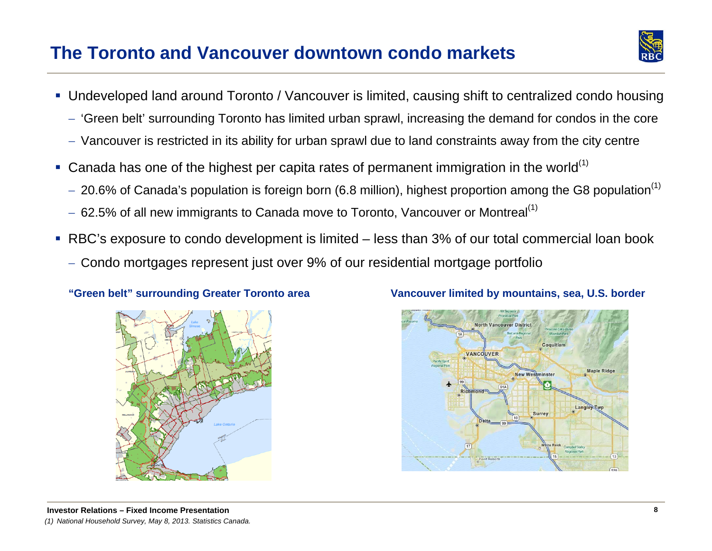## **The Toronto and Vancouver downtown condo markets**

- 
- Undeveloped land around Toronto / Vancouver is limited, causing shift to centralized condo housing
	- 'Green belt' surrounding Toronto has limited urban sprawl, increasing the demand for condos in the core
	- $-$  Vancouver is restricted in its ability for urban sprawl due to land constraints away from the city centre
- Ganada has one of the highest per capita rates of permanent immigration in the world<sup>(1)</sup>
	- $-$  20.6% of Canada's population is foreign born (6.8 million), highest proportion among the G8 population $^{\left(1\right)}$
	- $-$  62.5% of all new immigrants to Canada move to Toronto, Vancouver or Montreal $^{\left(1\right)}$
- RBC's exposure to condo development is limited less than 3% of our total commercial loan book
	- $-$  Condo mortgages represent just over 9% of our residential mortgage portfolio





### **"Green belt" surrounding Greater Toronto area Vancouver limited by mountains, sea, U.S. border**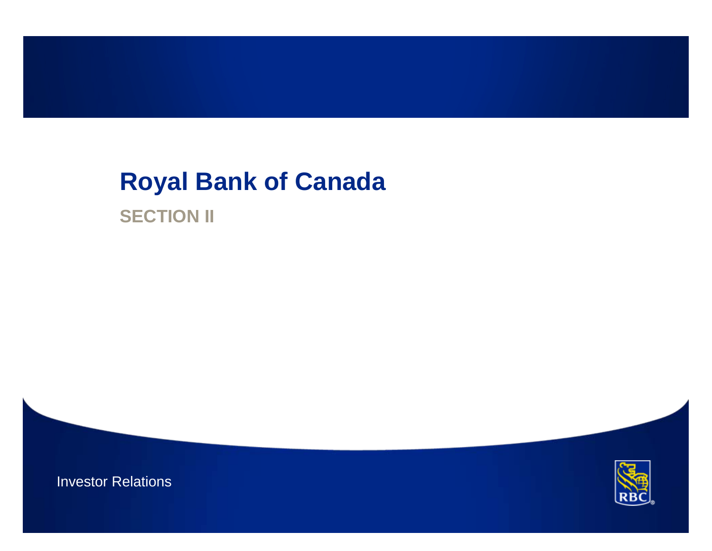# **Royal Bank of Canada SECTION II**

Investor Relations

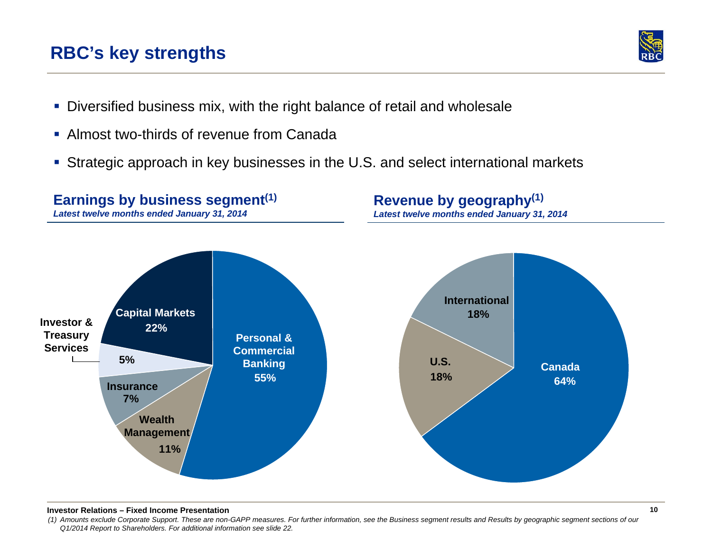#### **Investor Relations – Fixed Income Presentation**

*(1) Amounts exclude Corporate Support. These are non-GAPP measures. For further information, see the Business segment results and Results by geographic segment sections of our Q1/2014 Report to Shareholders. For additional information see slide 22.* 

**Earnings by business segment(1)** 

- Diversified business mix, with the right balance of retail and wholesale
- **Almost two-thirds of revenue from Canada**
- Strategic approach in key businesses in the U.S. and select international markets



# **Revenue by geography(1)**

*Latest twelve months ended January 31, 2014*

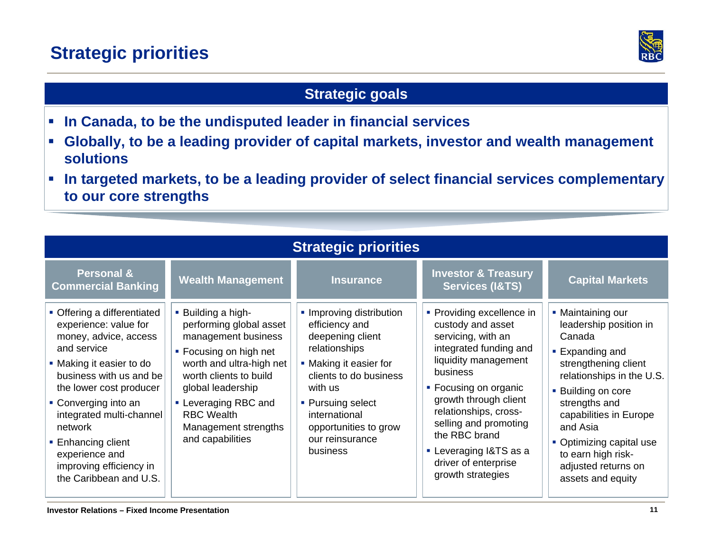## **Strategic priorities**



## **Strategic goals**

- $\overline{\phantom{a}}$ **In Canada, to be the undisputed leader in financial services**
- $\overline{\phantom{a}}$  **Globally, to be a leading provider of capital markets, investor and wealth management solutions**
- $\mathcal{L}_{\mathcal{A}}$  **In targeted markets, to be a leading provider of select financial services complementary to our core strengths**

| <b>Strategic priorities</b>                                                                                                                                                                                                                                                                                                                |                                                                                                                                                                                                                                                                    |                                                                                                                                                                                                                                              |                                                                                                                                                                                                                                                                                                                                |                                                                                                                                                                                                                                                                                                               |
|--------------------------------------------------------------------------------------------------------------------------------------------------------------------------------------------------------------------------------------------------------------------------------------------------------------------------------------------|--------------------------------------------------------------------------------------------------------------------------------------------------------------------------------------------------------------------------------------------------------------------|----------------------------------------------------------------------------------------------------------------------------------------------------------------------------------------------------------------------------------------------|--------------------------------------------------------------------------------------------------------------------------------------------------------------------------------------------------------------------------------------------------------------------------------------------------------------------------------|---------------------------------------------------------------------------------------------------------------------------------------------------------------------------------------------------------------------------------------------------------------------------------------------------------------|
| <b>Personal &amp;</b><br><b>Commercial Banking</b>                                                                                                                                                                                                                                                                                         | <b>Wealth Management</b>                                                                                                                                                                                                                                           | <b>Insurance</b>                                                                                                                                                                                                                             | <b>Investor &amp; Treasury</b><br><b>Services (I&amp;TS)</b>                                                                                                                                                                                                                                                                   | <b>Capital Markets</b>                                                                                                                                                                                                                                                                                        |
| • Offering a differentiated<br>experience: value for<br>money, advice, access<br>and service<br>• Making it easier to do<br>business with us and be<br>the lower cost producer<br>• Converging into an<br>integrated multi-channel<br>network<br>• Enhancing client<br>experience and<br>improving efficiency in<br>the Caribbean and U.S. | . Building a high-<br>performing global asset<br>management business<br>• Focusing on high net<br>worth and ultra-high net<br>worth clients to build<br>global leadership<br>• Leveraging RBC and<br><b>RBC Wealth</b><br>Management strengths<br>and capabilities | • Improving distribution<br>efficiency and<br>deepening client<br>relationships<br>• Making it easier for<br>clients to do business<br>with us<br>• Pursuing select<br>international<br>opportunities to grow<br>our reinsurance<br>business | • Providing excellence in<br>custody and asset<br>servicing, with an<br>integrated funding and<br>liquidity management<br>business<br>• Focusing on organic<br>growth through client<br>relationships, cross-<br>selling and promoting<br>the RBC brand<br>• Leveraging I&TS as a<br>driver of enterprise<br>growth strategies | • Maintaining our<br>leadership position in<br>Canada<br>• Expanding and<br>strengthening client<br>relationships in the U.S.<br><b>Building on core</b><br>strengths and<br>capabilities in Europe<br>and Asia<br>• Optimizing capital use<br>to earn high risk-<br>adjusted returns on<br>assets and equity |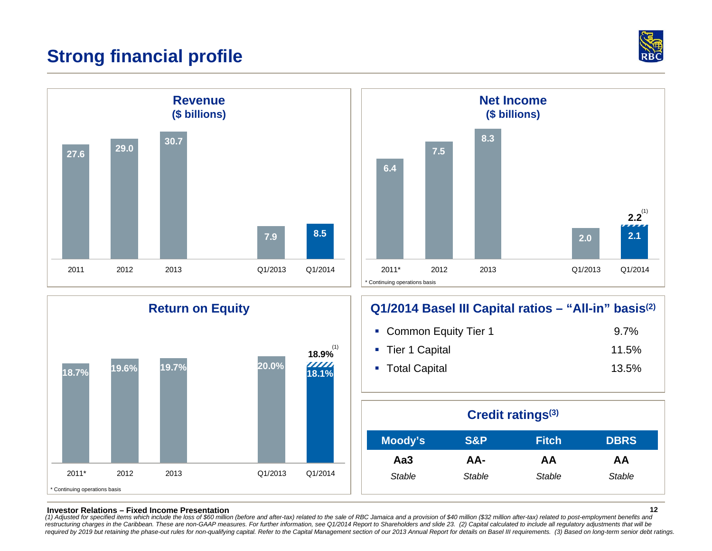## **Strong financial profile**









### **Return on Equity Q1/2014 Basel III Capital ratios – "All-in" basis(2)**

| • Common Equity Tier 1 | $9.7\%$ |
|------------------------|---------|
| ■ Tier 1 Capital       | 11.5%   |
| ■ Total Capital        | 13.5%   |

| Credit ratings <sup>(3)</sup> |        |              |             |
|-------------------------------|--------|--------------|-------------|
| Moody's                       | S&P    | <b>Fitch</b> | <b>DBRS</b> |
| Aa3                           | AA-    | AA           | AA          |
| Stable                        | Stable | Stable       | Stable      |

#### **Investor Relations – Fixed Income Presentation**

12<br>(1) Adjusted for specified items which include the loss of \$60 million (before and after-tax) related to the sale of RBC Jamaica and a provision of \$40 million (\$32 million after-tax) related to post-employment benefits restructuring charges in the Caribbean. These are non-GAAP measures. For further information, see Q1/2014 Report to Shareholders and slide 23. (2) Capital calculated to include all regulatory adjustments that will be required by 2019 but retaining the phase-out rules for non-qualifying capital. Refer to the Capital Management section of our 2013 Annual Report for details on Basel III requirements. (3) Based on long-term senior debt rat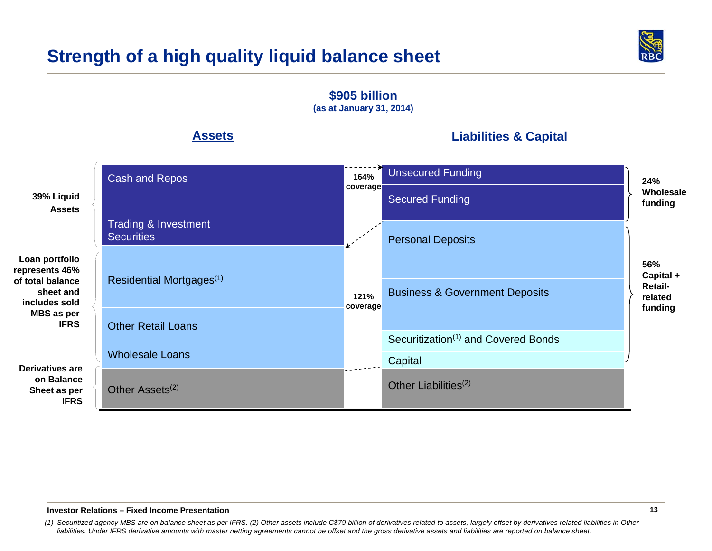## **Strength of a high quality liquid balance sheet**



**Assets39% Liquid Assets\$905 billion (as at January 31, 2014) Loan portfolio represents 46% of total balance sheet and includes sold MBS as per IFRSLiabilities & Capital 56% Capital + Retailrelated funding 24% Wholesale funding 121% coverage 164% coverage Derivatives are on Balance Sheet as per IFRS**Cash and Repos Residential Mortgages(1) Other Assets<sup>(2)</sup> Wholesale Loans Other Retail LoansTrading & Investment **Securities** Unsecured Funding Business & Government Deposits Personal Deposits **Capital** Other Liabilities<sup>(2)</sup> Secured Funding Securitization<sup>(1)</sup> and Covered Bonds

#### **Investor Relations – Fixed Income Presentation**

*(1) Securitized agency MBS are on balance sheet as per IFRS. (2) Other assets include C\$79 billion of derivatives related to assets, largely offset by derivatives related liabilities in Other liabilities. Under IFRS derivative amounts with master netting agreements cannot be offset and the gross derivative assets and liabilities are reported on balance sheet.*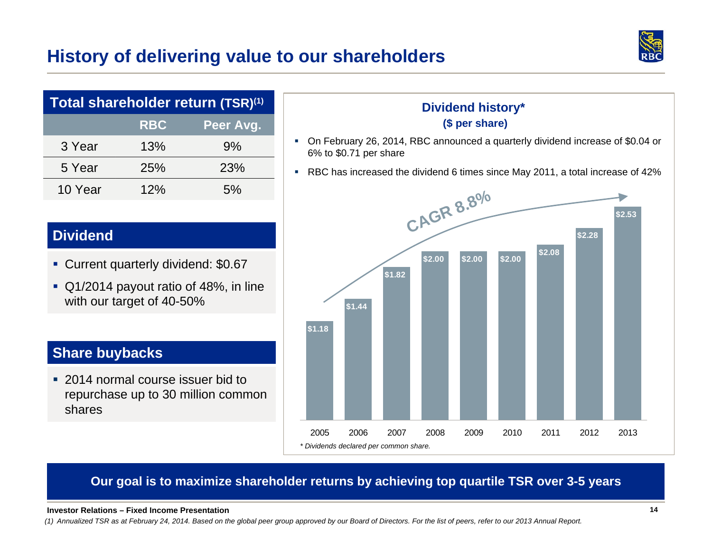## **History of delivering value to our shareholders**



| Total shareholder return (TSR) <sup>(1)</sup> |            |           |  |
|-----------------------------------------------|------------|-----------|--|
|                                               | <b>RBC</b> | Peer Avg. |  |
| 3 Year                                        | 13%        | 9%        |  |
| 5 Year                                        | 25%        | 23%       |  |
| 10 Year                                       | 12%        | 5%        |  |

## **Dividend**

- **Current quarterly dividend: \$0.67**
- Q1/2014 payout ratio of 48%, in line with our target of 40-50%

## **Share buybacks**

 2014 normal course issuer bid to repurchase up to 30 million common shares

### **Dividend history\* (\$ per share)**

- On February 26, 2014, RBC announced a quarterly dividend increase of \$0.04 or 6% to \$0.71 per share
- RBC has increased the dividend 6 times since May 2011, a total increase of 42%



### **Our goal is to maximize shareholder returns by achieving top quartile TSR over 3-5 years**

#### **Investor Relations – Fixed Income Presentation**

*(1) Annualized TSR as at February 24, 2014. Based on the global peer group approved by our Board of Directors. For the list of peers, refer to our 2013 Annual Report.*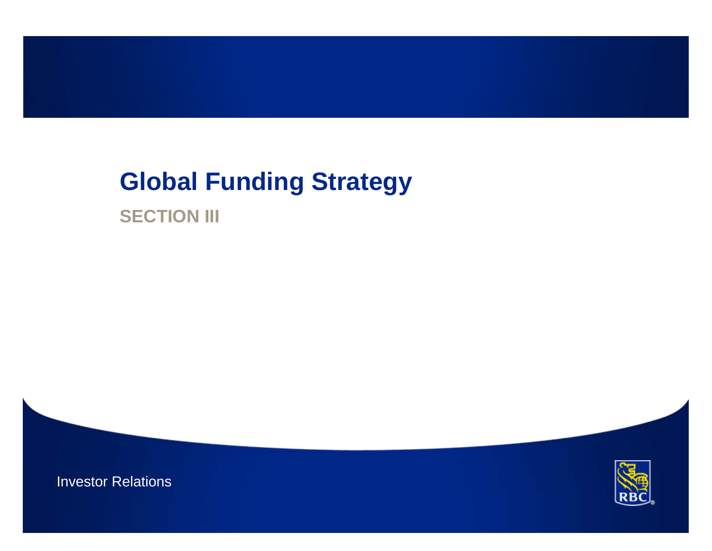# **Global Funding Strategy**

**SECTION III** 

Investor Relations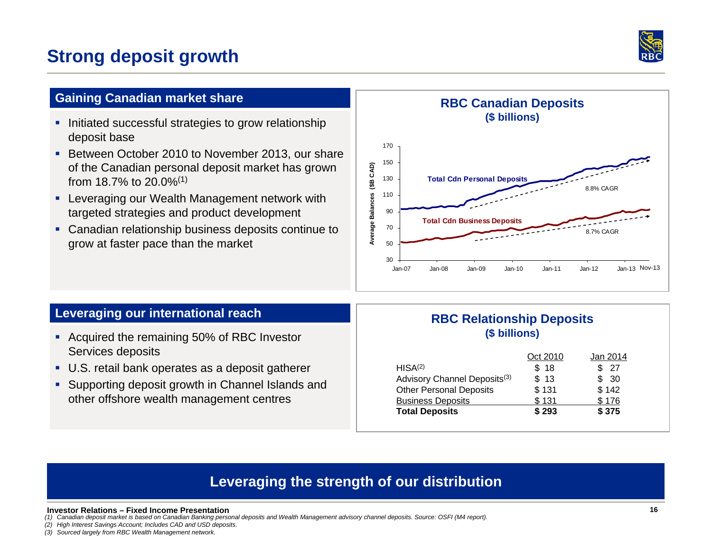## **Strong deposit growth**



### **Gaining Canadian market share**

- **Initiated successful strategies to grow relationship** deposit base
- Between October 2010 to November 2013, our share of the Canadian personal deposit market has grown from 18.7% to 20.0%(1)
- г Leveraging our Wealth Management network with targeted strategies and product development
- **Canadian relationship business deposits continue to** grow at faster pace than the market



### **Leveraging our international reach**

- Acquired the remaining 50% of RBC Investor Services deposits
- U.S. retail bank operates as a deposit gatherer
- Supporting deposit growth in Channel Islands and other offshore wealth management centres

### **RBC Relationship Deposits (\$ billions)**

| Oct 2010 | Jan 2014 |
|----------|----------|
| \$18     | - 27     |
| \$13     | \$30     |
| \$131    | \$142    |
| \$131    | \$176    |
| \$293    | \$375    |
|          |          |

## **Leveraging the strength of our distribution**

#### **Investor Relations – Fixed Income Presentation**

*(1) Canadian deposit market is based on Canadian Banking personal deposits and Wealth Management advisory channel deposits. Source: OSFI (M4 report).*

*(2) High Interest Savings Account; Includes CAD and USD deposits. (3) Sourced largely from RBC Wealth Management network.*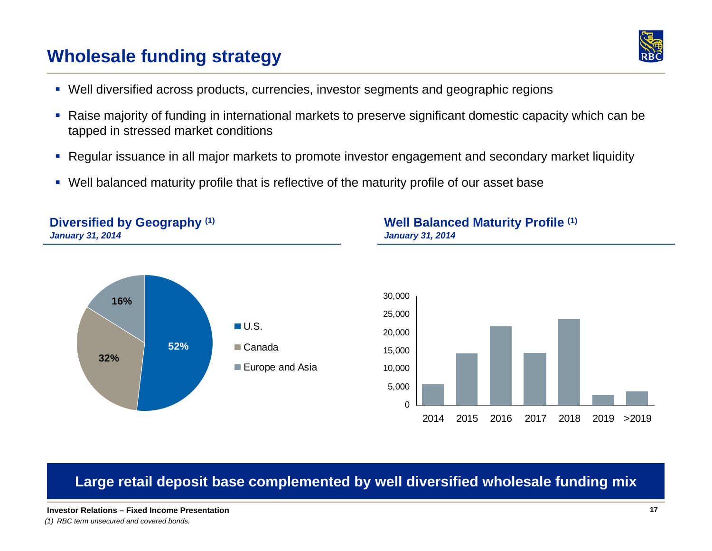## **Wholesale funding strategy**



- Well diversified across products, currencies, investor segments and geographic regions
- $\mathcal{L}_{\mathcal{A}}$  Raise majority of funding in international markets to preserve significant domestic capacity which can be tapped in stressed market conditions
- $\mathcal{L}_{\mathcal{A}}$ Regular issuance in all major markets to promote investor engagement and secondary market liquidity
- Well balanced maturity profile that is reflective of the maturity profile of our asset base



## **Large retail deposit base complemented by well diversified wholesale funding mix**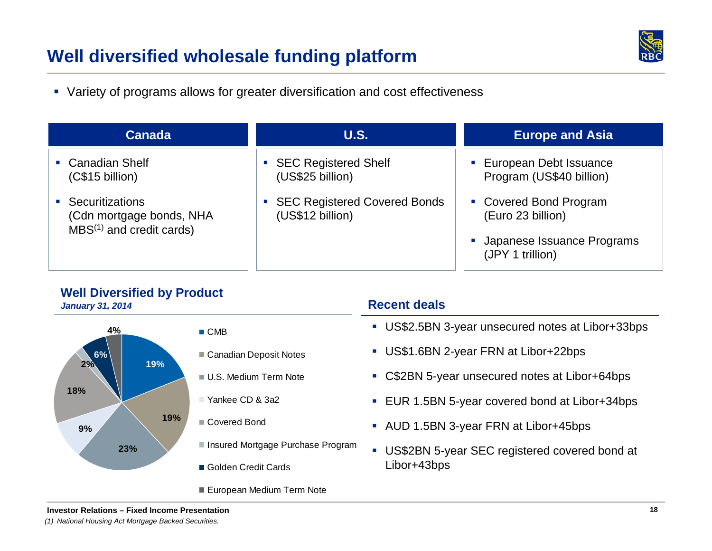## **Well diversified wholesale funding platform**



Variety of programs allows for greater diversification and cost effectiveness

| <b>Canada</b>                                                               | <b>U.S.</b>                                        | <b>Europe and Asia</b>                                                                        |
|-----------------------------------------------------------------------------|----------------------------------------------------|-----------------------------------------------------------------------------------------------|
| • Canadian Shelf<br>(C\$15 billion)                                         | • SEC Registered Shelf<br>(US\$25 billion)         | European Debt Issuance<br>Program (US\$40 billion)                                            |
| • Securitizations<br>(Cdn mortgage bonds, NHA<br>$MBS(1)$ and credit cards) | • SEC Registered Covered Bonds<br>(US\$12 billion) | • Covered Bond Program<br>(Euro 23 billion)<br>Japanese Issuance Programs<br>(JPY 1 trillion) |

### **Well Diversified by Product**

*January 31, 2014*



### ■ CMB

- Canadian Deposit Notes
- U.S. Medium Term Note
- Yankee CD & 3a2
- Covered Bond
- Insured Mortgage Purchase Program
- Golden Credit Cards
- European Medium Term Note

### **Recent deals**

- US\$2.5BN 3-year unsecured notes at Libor+33bps
- US\$1.6BN 2-year FRN at Libor+22bps
- C\$2BN 5-year unsecured notes at Libor+64bps
- EUR 1.5BN 5-year covered bond at Libor+34bps
- AUD 1.5BN 3-year FRN at Libor+45bps
- US\$2BN 5-year SEC registered covered bond at Libor+43bps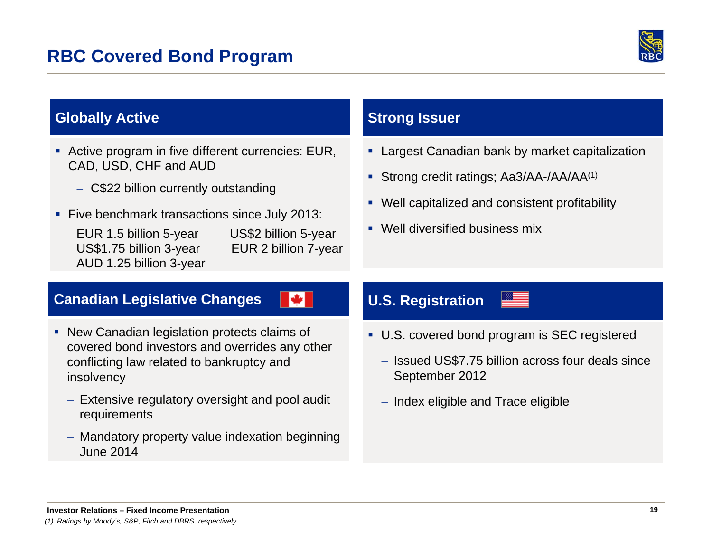

## **Globally Active**

- Active program in five different currencies: EUR, CAD, USD, CHF and AUD
	- C\$22 billion currently outstanding
- Five benchmark transactions since July 2013:
	- EUR 1.5 billion 5-year US\$2 billion 5-year US\$1.75 billion 3-year EUR 2 billion 7-year AUD 1.25 billion 3-year

N.

## **Strong Issuer**

- **Largest Canadian bank by market capitalization**
- Strong credit ratings; Aa3/AA-/AA/AA<sup>(1)</sup>
- Well capitalized and consistent profitability
- **Well diversified business mix**

### **Canadian Legislative Changes**

- New Canadian legislation protects claims of covered bond investors and overrides any other conflicting law related to bankruptcy and insolvency
	- $-$  Extensive regulatory oversight and pool audit  $\,$ requirements
	- Mandatory property value indexation beginning June 2014

## **U.S. Registration**

- U.S. covered bond program is SEC registered
	- Issued US\$7.75 billion across four deals since September 2012
	- $-$  Index eligible and Trace eligible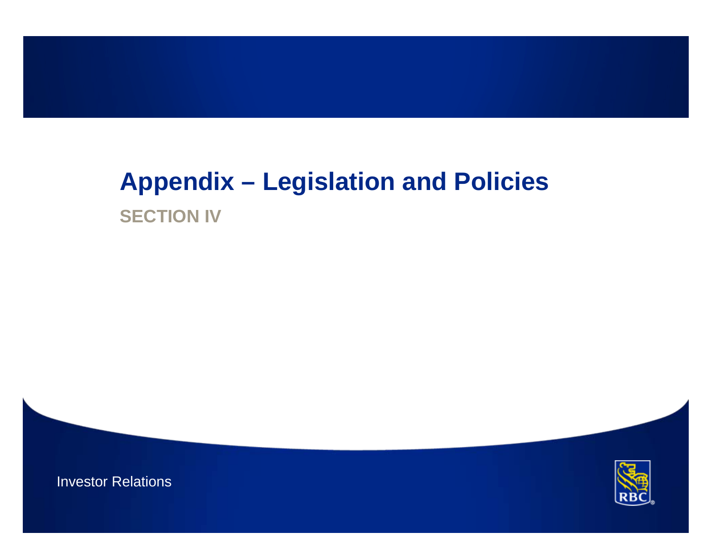# **Appendix – Legislation and Policies SECTION IV**



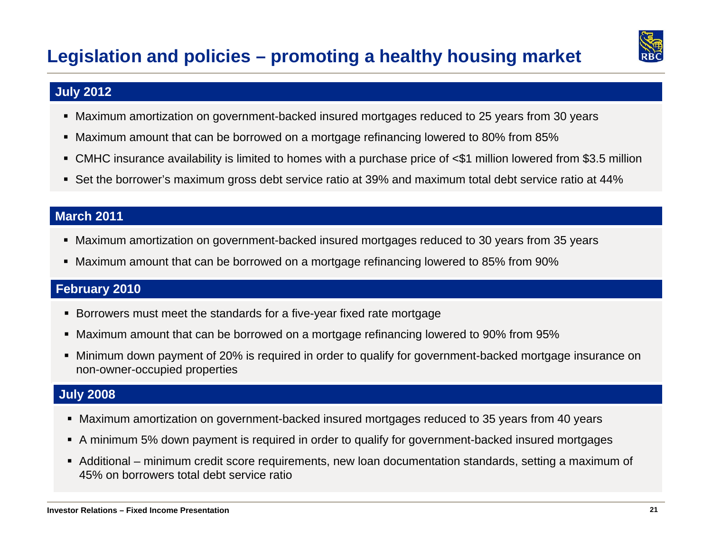

### **July 2012**

- Maximum amortization on government-backed insured mortgages reduced to 25 years from 30 years
- Maximum amount that can be borrowed on a mortgage refinancing lowered to 80% from 85%
- CMHC insurance availability is limited to homes with a purchase price of <\$1 million lowered from \$3.5 million
- Set the borrower's maximum gross debt service ratio at 39% and maximum total debt service ratio at 44%

### **March 2011**

- Maximum amortization on government-backed insured mortgages reduced to 30 years from 35 years
- Maximum amount that can be borrowed on a mortgage refinancing lowered to 85% from 90%

### **February 2010**

- Borrowers must meet the standards for a five-year fixed rate mortgage
- Maximum amount that can be borrowed on a mortgage refinancing lowered to 90% from 95%
- Minimum down payment of 20% is required in order to qualify for government-backed mortgage insurance on non-owner-occupied properties

### **July 2008**

- Maximum amortization on government-backed insured mortgages reduced to 35 years from 40 years
- A minimum 5% down payment is required in order to qualify for government-backed insured mortgages
- Additional minimum credit score requirements, new loan documentation standards, setting a maximum of 45% on borrowers total debt service ratio